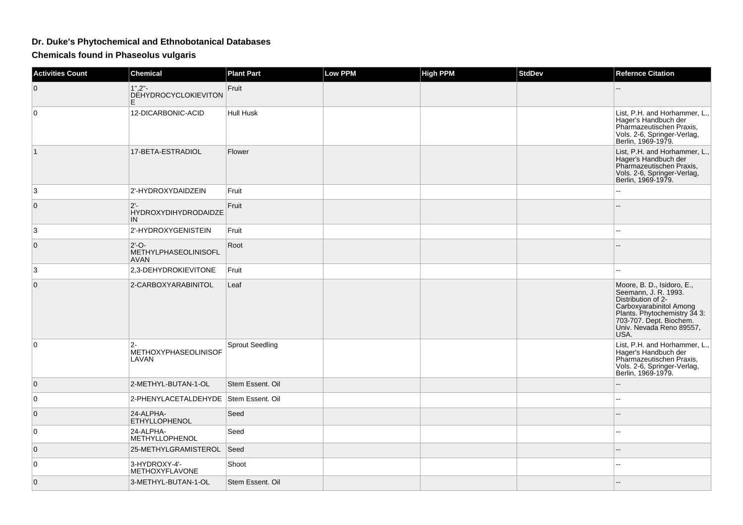## **Dr. Duke's Phytochemical and Ethnobotanical Databases**

**Chemicals found in Phaseolus vulgaris**

| <b>Activities Count</b> | <b>Chemical</b>                                | <b>Plant Part</b>      | <b>Low PPM</b> | <b>High PPM</b> | <b>StdDev</b> | <b>Refernce Citation</b>                                                                                                                                                                        |
|-------------------------|------------------------------------------------|------------------------|----------------|-----------------|---------------|-------------------------------------------------------------------------------------------------------------------------------------------------------------------------------------------------|
| 0                       | 1".2''.<br><b>DÉHYDROCYCLOKIEVITON</b><br>E.   | Fruit                  |                |                 |               |                                                                                                                                                                                                 |
| $\Omega$                | 12-DICARBONIC-ACID                             | <b>Hull Husk</b>       |                |                 |               | List, P.H. and Horhammer, L.,<br>Hager's Handbuch der<br>Pharmazeutischen Praxis,<br>Vols. 2-6, Springer-Verlag,<br>Berlin, 1969-1979.                                                          |
| 1                       | 17-BETA-ESTRADIOL                              | Flower                 |                |                 |               | List, P.H. and Horhammer, L.,<br>Hager's Handbuch der<br>Pharmazeutischen Praxis,<br>Vols. 2-6, Springer-Verlag,<br>Berlin, 1969-1979.                                                          |
| 3                       | 2'-HYDROXYDAIDZEIN                             | Fruit                  |                |                 |               |                                                                                                                                                                                                 |
| $\mathbf{0}$            | $2 -$<br><b>HYDROXYDIHYDRODAIDZE</b><br>IN     | Fruit                  |                |                 |               |                                                                                                                                                                                                 |
| 3                       | 2'-HYDROXYGENISTEIN                            | Fruit                  |                |                 |               |                                                                                                                                                                                                 |
| $\mathbf{0}$            | $2'-O-$<br>METHYLPHASEOLINISOFL<br><b>AVAN</b> | Root                   |                |                 |               |                                                                                                                                                                                                 |
| 3                       | 2,3-DEHYDROKIEVITONE                           | Fruit                  |                |                 |               |                                                                                                                                                                                                 |
| $\mathbf{0}$            | 2-CARBOXYARABINITOL                            | Leaf                   |                |                 |               | Moore, B. D., Isidoro, E., Seemann, J. R. 1993.<br>Distribution of 2-<br>Carboxyarabinitol Among<br>Plants. Phytochemistry 34 3:<br>703-707. Dept. Biochem.<br>Univ. Nevada Reno 89557,<br>USA. |
| $\Omega$                | $2 -$<br><b>METHOXYPHASEOLINISOF</b><br>LAVAN  | <b>Sprout Seedling</b> |                |                 |               | List, P.H. and Horhammer, L.,<br>Hager's Handbuch der<br>Pharmazeutischen Praxis,<br>Vols. 2-6, Springer-Verlag,<br>Berlin, 1969-1979.                                                          |
| $\mathbf{0}$            | 2-METHYL-BUTAN-1-OL                            | Stem Essent, Oil       |                |                 |               |                                                                                                                                                                                                 |
| $\mathbf 0$             | 2-PHENYLACETALDEHYDE Stem Essent. Oil          |                        |                |                 |               | ٠.                                                                                                                                                                                              |
| $\mathbf{0}$            | 24-ALPHA-<br><b>ETHYLLOPHENOL</b>              | Seed                   |                |                 |               |                                                                                                                                                                                                 |
| 0                       | 24-ALPHA-<br><b>METHYLLOPHENOL</b>             | Seed                   |                |                 |               |                                                                                                                                                                                                 |
| $\mathbf{0}$            | 25-METHYLGRAMISTEROL                           | Seed                   |                |                 |               |                                                                                                                                                                                                 |
| $\mathbf 0$             | 3-HYDROXY-4'-<br><b>METHOXYFLAVONE</b>         | Shoot                  |                |                 |               | $\sim$                                                                                                                                                                                          |
| $\overline{0}$          | 3-METHYL-BUTAN-1-OL                            | Stem Essent. Oil       |                |                 |               |                                                                                                                                                                                                 |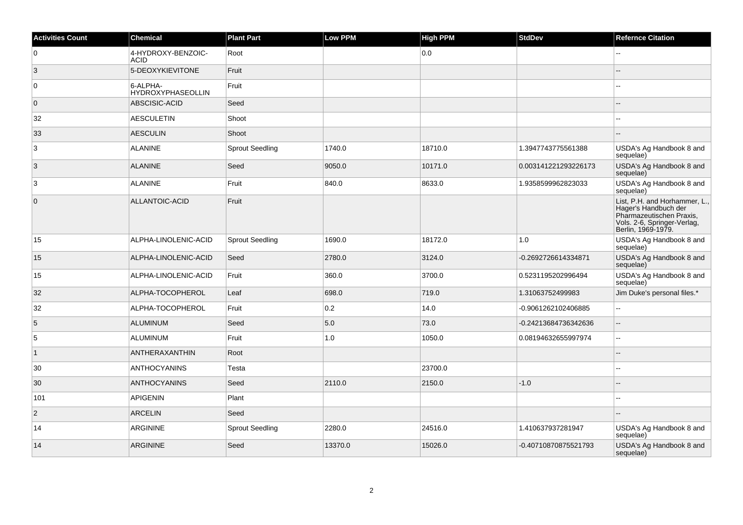| <b>Activities Count</b> | <b>Chemical</b>                      | <b>Plant Part</b>      | Low PPM | <b>High PPM</b> | <b>StdDev</b>        | <b>Refernce Citation</b>                                                                                                               |
|-------------------------|--------------------------------------|------------------------|---------|-----------------|----------------------|----------------------------------------------------------------------------------------------------------------------------------------|
| 0                       | 4-HYDROXY-BENZOIC-<br>ACID           | Root                   |         | 0.0             |                      |                                                                                                                                        |
| 3                       | 5-DEOXYKIEVITONE                     | Fruit                  |         |                 |                      |                                                                                                                                        |
| 0                       | 6-ALPHA-<br><b>HYDROXYPHASEOLLIN</b> | Fruit                  |         |                 |                      |                                                                                                                                        |
| $\mathbf{0}$            | ABSCISIC-ACID                        | Seed                   |         |                 |                      |                                                                                                                                        |
| 32                      | <b>AESCULETIN</b>                    | Shoot                  |         |                 |                      |                                                                                                                                        |
| 33                      | <b>AESCULIN</b>                      | Shoot                  |         |                 |                      |                                                                                                                                        |
| 3                       | <b>ALANINE</b>                       | <b>Sprout Seedling</b> | 1740.0  | 18710.0         | 1.3947743775561388   | USDA's Ag Handbook 8 and<br>sequelae)                                                                                                  |
| 3                       | <b>ALANINE</b>                       | Seed                   | 9050.0  | 10171.0         | 0.003141221293226173 | USDA's Ag Handbook 8 and<br>sequelae)                                                                                                  |
| 3                       | <b>ALANINE</b>                       | Fruit                  | 840.0   | 8633.0          | 1.9358599962823033   | USDA's Ag Handbook 8 and<br>sequelae)                                                                                                  |
| $\mathbf 0$             | ALLANTOIC-ACID                       | Fruit                  |         |                 |                      | List, P.H. and Horhammer, L.,<br>Hager's Handbuch der<br>Pharmazeutischen Praxis,<br>Vols. 2-6, Springer-Verlag,<br>Berlin, 1969-1979. |
| 15                      | ALPHA-LINOLENIC-ACID                 | <b>Sprout Seedling</b> | 1690.0  | 18172.0         | 1.0                  | USDA's Ag Handbook 8 and<br>sequelae)                                                                                                  |
| 15                      | ALPHA-LINOLENIC-ACID                 | Seed                   | 2780.0  | 3124.0          | -0.2692726614334871  | USDA's Ag Handbook 8 and<br>sequelae)                                                                                                  |
| 15                      | ALPHA-LINOLENIC-ACID                 | Fruit                  | 360.0   | 3700.0          | 0.5231195202996494   | USDA's Ag Handbook 8 and<br>sequelae)                                                                                                  |
| 32                      | ALPHA-TOCOPHEROL                     | Leaf                   | 698.0   | 719.0           | 1.31063752499983     | Jim Duke's personal files.*                                                                                                            |
| 32                      | ALPHA-TOCOPHEROL                     | Fruit                  | 0.2     | 14.0            | -0.9061262102406885  | $\overline{a}$                                                                                                                         |
| 5                       | ALUMINUM                             | Seed                   | $5.0\,$ | 73.0            | -0.24213684736342636 | $-$                                                                                                                                    |
| 5                       | ALUMINUM                             | Fruit                  | 1.0     | 1050.0          | 0.08194632655997974  | Ξ.                                                                                                                                     |
| $\mathbf{1}$            | ANTHERAXANTHIN                       | Root                   |         |                 |                      |                                                                                                                                        |
| 30                      | <b>ANTHOCYANINS</b>                  | Testa                  |         | 23700.0         |                      |                                                                                                                                        |
| 30                      | <b>ANTHOCYANINS</b>                  | Seed                   | 2110.0  | 2150.0          | $-1.0$               |                                                                                                                                        |
| 101                     | APIGENIN                             | Plant                  |         |                 |                      |                                                                                                                                        |
| $\sqrt{2}$              | <b>ARCELIN</b>                       | Seed                   |         |                 |                      |                                                                                                                                        |
| 14                      | <b>ARGININE</b>                      | <b>Sprout Seedling</b> | 2280.0  | 24516.0         | 1.410637937281947    | USDA's Ag Handbook 8 and<br>sequelae)                                                                                                  |
| 14                      | <b>ARGININE</b>                      | Seed                   | 13370.0 | 15026.0         | -0.40710870875521793 | USDA's Ag Handbook 8 and<br>sequelae)                                                                                                  |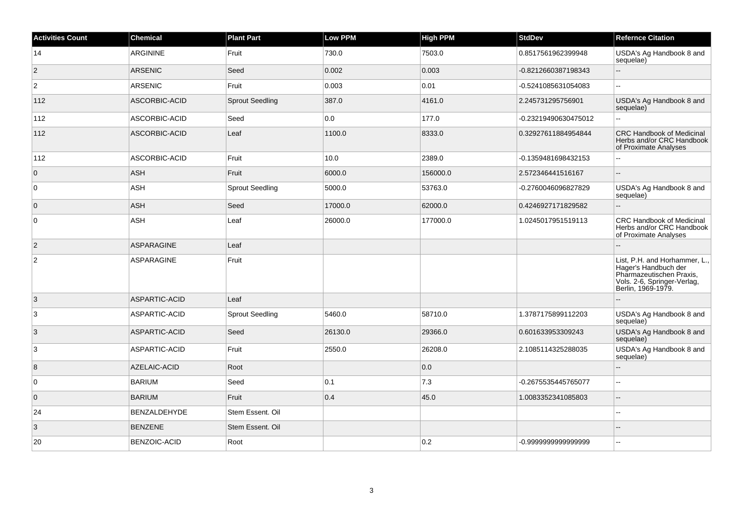| <b>Activities Count</b> | Chemical            | <b>Plant Part</b>      | Low PPM | <b>High PPM</b> | <b>StdDev</b>        | <b>Refernce Citation</b>                                                                                                               |
|-------------------------|---------------------|------------------------|---------|-----------------|----------------------|----------------------------------------------------------------------------------------------------------------------------------------|
| 14                      | ARGININE            | Fruit                  | 730.0   | 7503.0          | 0.8517561962399948   | USDA's Ag Handbook 8 and<br>sequelae)                                                                                                  |
| $\overline{2}$          | <b>ARSENIC</b>      | Seed                   | 0.002   | 0.003           | -0.8212660387198343  |                                                                                                                                        |
| $\overline{2}$          | <b>ARSENIC</b>      | Fruit                  | 0.003   | 0.01            | -0.5241085631054083  |                                                                                                                                        |
| 112                     | ASCORBIC-ACID       | <b>Sprout Seedling</b> | 387.0   | 4161.0          | 2.245731295756901    | USDA's Ag Handbook 8 and<br>sequelae)                                                                                                  |
| 112                     | ASCORBIC-ACID       | Seed                   | 0.0     | 177.0           | -0.23219490630475012 |                                                                                                                                        |
| 112                     | ASCORBIC-ACID       | Leaf                   | 1100.0  | 8333.0          | 0.32927611884954844  | <b>CRC Handbook of Medicinal</b><br>Herbs and/or CRC Handbook<br>of Proximate Analyses                                                 |
| 112                     | ASCORBIC-ACID       | Fruit                  | 10.0    | 2389.0          | -0.1359481698432153  |                                                                                                                                        |
| $\overline{0}$          | <b>ASH</b>          | Fruit                  | 6000.0  | 156000.0        | 2.572346441516167    | --                                                                                                                                     |
| $\overline{0}$          | ASH                 | <b>Sprout Seedling</b> | 5000.0  | 53763.0         | -0.2760046096827829  | USDA's Ag Handbook 8 and<br>sequelae)                                                                                                  |
| $\overline{0}$          | <b>ASH</b>          | Seed                   | 17000.0 | 62000.0         | 0.4246927171829582   |                                                                                                                                        |
| $\overline{0}$          | ASH                 | Leaf                   | 26000.0 | 177000.0        | 1.0245017951519113   | <b>CRC Handbook of Medicinal</b><br>Herbs and/or CRC Handbook<br>of Proximate Analyses                                                 |
| $\overline{2}$          | <b>ASPARAGINE</b>   | Leaf                   |         |                 |                      |                                                                                                                                        |
| $\overline{2}$          | ASPARAGINE          | Fruit                  |         |                 |                      | List, P.H. and Horhammer, L.,<br>Hager's Handbuch der<br>Pharmazeutischen Praxis,<br>Vols. 2-6, Springer-Verlag,<br>Berlin, 1969-1979. |
| $\mathbf{3}$            | ASPARTIC-ACID       | Leaf                   |         |                 |                      |                                                                                                                                        |
| 3                       | ASPARTIC-ACID       | <b>Sprout Seedling</b> | 5460.0  | 58710.0         | 1.3787175899112203   | USDA's Ag Handbook 8 and<br>sequelae)                                                                                                  |
| 3                       | ASPARTIC-ACID       | Seed                   | 26130.0 | 29366.0         | 0.601633953309243    | USDA's Ag Handbook 8 and<br>sequelae)                                                                                                  |
| 3                       | ASPARTIC-ACID       | Fruit                  | 2550.0  | 26208.0         | 2.1085114325288035   | USDA's Ag Handbook 8 and<br>sequelae)                                                                                                  |
| 8                       | AZELAIC-ACID        | Root                   |         | 0.0             |                      |                                                                                                                                        |
| $\overline{0}$          | <b>BARIUM</b>       | Seed                   | 0.1     | 7.3             | -0.2675535445765077  | Ξ.                                                                                                                                     |
| $\overline{0}$          | <b>BARIUM</b>       | Fruit                  | 0.4     | 45.0            | 1.0083352341085803   | $-$                                                                                                                                    |
| 24                      | BENZALDEHYDE        | Stem Essent. Oil       |         |                 |                      |                                                                                                                                        |
| 3                       | <b>BENZENE</b>      | Stem Essent. Oil       |         |                 |                      |                                                                                                                                        |
| 20                      | <b>BENZOIC-ACID</b> | Root                   |         | 0.2             | -0.9999999999999999  |                                                                                                                                        |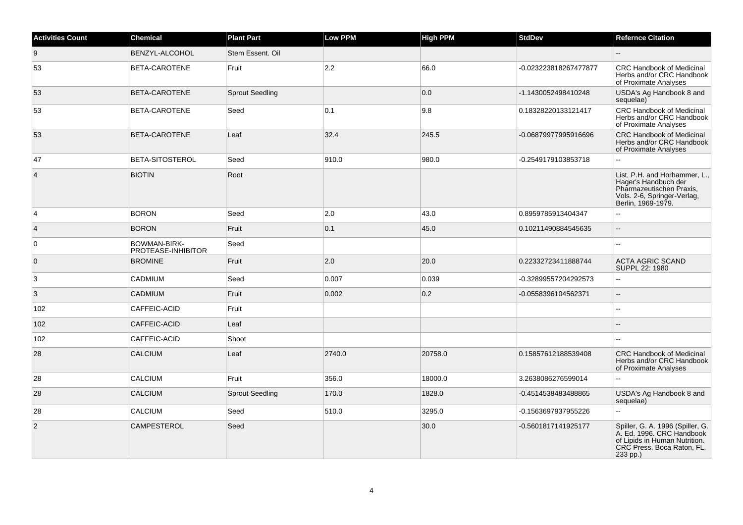| <b>Activities Count</b> | <b>Chemical</b>                    | <b>Plant Part</b>      | Low PPM | <b>High PPM</b> | <b>StdDev</b>         | <b>Refernce Citation</b>                                                                                                                 |
|-------------------------|------------------------------------|------------------------|---------|-----------------|-----------------------|------------------------------------------------------------------------------------------------------------------------------------------|
| 9                       | BENZYL-ALCOHOL                     | Stem Essent, Oil       |         |                 |                       | --                                                                                                                                       |
| 53                      | BETA-CAROTENE                      | Fruit                  | 2.2     | 66.0            | -0.023223818267477877 | <b>CRC Handbook of Medicinal</b><br>Herbs and/or CRC Handbook<br>of Proximate Analyses                                                   |
| 53                      | BETA-CAROTENE                      | <b>Sprout Seedling</b> |         | 0.0             | -1.1430052498410248   | USDA's Ag Handbook 8 and<br>sequelae)                                                                                                    |
| 53                      | BETA-CAROTENE                      | Seed                   | 0.1     | 9.8             | 0.18328220133121417   | CRC Handbook of Medicinal<br>Herbs and/or CRC Handbook<br>of Proximate Analyses                                                          |
| 53                      | BETA-CAROTENE                      | Leaf                   | 32.4    | 245.5           | -0.06879977995916696  | CRC Handbook of Medicinal<br>Herbs and/or CRC Handbook<br>of Proximate Analyses                                                          |
| 47                      | BETA-SITOSTEROL                    | Seed                   | 910.0   | 980.0           | -0.2549179103853718   |                                                                                                                                          |
| $\overline{4}$          | <b>BIOTIN</b>                      | Root                   |         |                 |                       | List, P.H. and Horhammer, L.,<br>Hager's Handbuch der<br>Pharmazeutischen Praxis,<br>Vols. 2-6, Springer-Verlag,<br>Berlin, 1969-1979.   |
| 4                       | <b>BORON</b>                       | Seed                   | 2.0     | 43.0            | 0.8959785913404347    | $\overline{a}$                                                                                                                           |
| $\overline{4}$          | <b>BORON</b>                       | Fruit                  | 0.1     | 45.0            | 0.10211490884545635   | $\overline{a}$                                                                                                                           |
| 0                       | BOWMAN-BIRK-<br>PROTEASE-INHIBITOR | Seed                   |         |                 |                       | ۵۵                                                                                                                                       |
| $\mathbf{0}$            | <b>BROMINE</b>                     | Fruit                  | 2.0     | 20.0            | 0.22332723411888744   | ACTA AGRIC SCAND<br>SUPPL 22: 1980                                                                                                       |
| 3                       | CADMIUM                            | Seed                   | 0.007   | 0.039           | -0.32899557204292573  | L.                                                                                                                                       |
| 3                       | <b>CADMIUM</b>                     | Fruit                  | 0.002   | 0.2             | -0.0558396104562371   |                                                                                                                                          |
| 102                     | CAFFEIC-ACID                       | Fruit                  |         |                 |                       |                                                                                                                                          |
| 102                     | CAFFEIC-ACID                       | Leaf                   |         |                 |                       |                                                                                                                                          |
| 102                     | CAFFEIC-ACID                       | Shoot                  |         |                 |                       |                                                                                                                                          |
| 28                      | <b>CALCIUM</b>                     | Leaf                   | 2740.0  | 20758.0         | 0.15857612188539408   | <b>CRC Handbook of Medicinal</b><br>Herbs and/or CRC Handbook<br>of Proximate Analyses                                                   |
| 28                      | CALCIUM                            | Fruit                  | 356.0   | 18000.0         | 3.2638086276599014    |                                                                                                                                          |
| 28                      | <b>CALCIUM</b>                     | <b>Sprout Seedling</b> | 170.0   | 1828.0          | -0.4514538483488865   | USDA's Ag Handbook 8 and<br>sequelae)                                                                                                    |
| 28                      | CALCIUM                            | Seed                   | 510.0   | 3295.0          | -0.1563697937955226   | $\overline{a}$                                                                                                                           |
| $\overline{2}$          | <b>CAMPESTEROL</b>                 | Seed                   |         | 30.0            | -0.5601817141925177   | Spiller, G. A. 1996 (Spiller, G.<br>A. Ed. 1996. CRC Handbook<br>of Lipids in Human Nutrition.<br>CRC Press. Boca Raton, FL.<br>233 pp.) |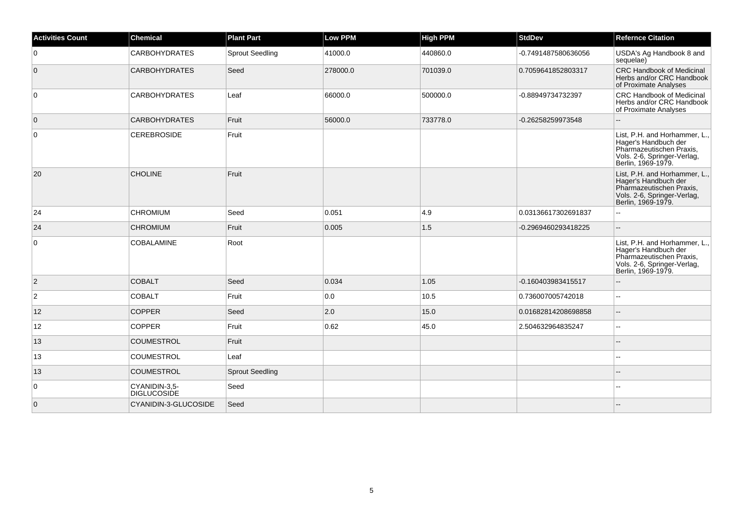| <b>Activities Count</b> | <b>Chemical</b>                     | <b>Plant Part</b>      | <b>Low PPM</b> | <b>High PPM</b> | <b>StdDev</b>       | <b>Refernce Citation</b>                                                                                                               |
|-------------------------|-------------------------------------|------------------------|----------------|-----------------|---------------------|----------------------------------------------------------------------------------------------------------------------------------------|
| $\overline{0}$          | <b>CARBOHYDRATES</b>                | <b>Sprout Seedling</b> | 41000.0        | 440860.0        | -0.7491487580636056 | USDA's Ag Handbook 8 and<br>sequelae)                                                                                                  |
| $\overline{0}$          | <b>CARBOHYDRATES</b>                | Seed                   | 278000.0       | 701039.0        | 0.7059641852803317  | <b>CRC Handbook of Medicinal</b><br>Herbs and/or CRC Handbook<br>of Proximate Analyses                                                 |
| $\overline{0}$          | <b>CARBOHYDRATES</b>                | Leaf                   | 66000.0        | 500000.0        | -0.88949734732397   | CRC Handbook of Medicinal<br>Herbs and/or CRC Handbook<br>of Proximate Analyses                                                        |
| $\overline{0}$          | <b>CARBOHYDRATES</b>                | Fruit                  | 56000.0        | 733778.0        | -0.26258259973548   |                                                                                                                                        |
| 0                       | <b>CEREBROSIDE</b>                  | Fruit                  |                |                 |                     | List, P.H. and Horhammer, L.,<br>Hager's Handbuch der<br>Pharmazeutischen Praxis,<br>Vols. 2-6, Springer-Verlag,<br>Berlin, 1969-1979. |
| 20                      | <b>CHOLINE</b>                      | Fruit                  |                |                 |                     | List, P.H. and Horhammer, L.,<br>Hager's Handbuch der<br>Pharmazeutischen Praxis,<br>Vols. 2-6, Springer-Verlag,<br>Berlin, 1969-1979. |
| 24                      | <b>CHROMIUM</b>                     | Seed                   | 0.051          | 4.9             | 0.03136617302691837 |                                                                                                                                        |
| 24                      | <b>CHROMIUM</b>                     | Fruit                  | 0.005          | 1.5             | -0.2969460293418225 | $\sim$                                                                                                                                 |
| 0                       | <b>COBALAMINE</b>                   | Root                   |                |                 |                     | List, P.H. and Horhammer, L.,<br>Hager's Handbuch der<br>Pharmazeutischen Praxis,<br>Vols. 2-6, Springer-Verlag,<br>Berlin, 1969-1979. |
| $\vert$ 2               | <b>COBALT</b>                       | Seed                   | 0.034          | 1.05            | -0.160403983415517  | $\overline{a}$                                                                                                                         |
| $\overline{2}$          | <b>COBALT</b>                       | Fruit                  | 0.0            | 10.5            | 0.736007005742018   | $\sim$                                                                                                                                 |
| 12                      | <b>COPPER</b>                       | Seed                   | 2.0            | 15.0            | 0.01682814208698858 | $\overline{a}$                                                                                                                         |
| 12                      | <b>COPPER</b>                       | Fruit                  | 0.62           | 45.0            | 2.504632964835247   | $\overline{\phantom{a}}$                                                                                                               |
| 13                      | <b>COUMESTROL</b>                   | Fruit                  |                |                 |                     |                                                                                                                                        |
| 13                      | <b>COUMESTROL</b>                   | Leaf                   |                |                 |                     |                                                                                                                                        |
| 13                      | <b>COUMESTROL</b>                   | <b>Sprout Seedling</b> |                |                 |                     |                                                                                                                                        |
| 0                       | CYANIDIN-3,5-<br><b>DIGLUCOSIDE</b> | Seed                   |                |                 |                     |                                                                                                                                        |
| $\overline{0}$          | CYANIDIN-3-GLUCOSIDE                | Seed                   |                |                 |                     |                                                                                                                                        |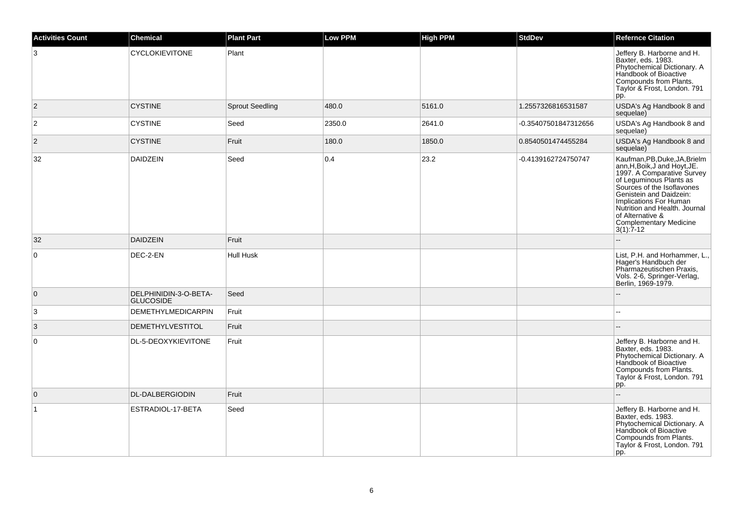| <b>Activities Count</b> | <b>Chemical</b>                           | <b>Plant Part</b>      | <b>Low PPM</b> | <b>High PPM</b> | <b>StdDev</b>        | <b>Refernce Citation</b>                                                                                                                                                                                                                                                                                 |
|-------------------------|-------------------------------------------|------------------------|----------------|-----------------|----------------------|----------------------------------------------------------------------------------------------------------------------------------------------------------------------------------------------------------------------------------------------------------------------------------------------------------|
| 3                       | <b>CYCLOKIEVITONE</b>                     | Plant                  |                |                 |                      | Jeffery B. Harborne and H.<br>Baxter, eds. 1983.<br>Phytochemical Dictionary. A<br>Handbook of Bioactive<br>Compounds from Plants.<br>Taylor & Frost, London. 791<br>pp.                                                                                                                                 |
| $\vert$ 2               | <b>CYSTINE</b>                            | <b>Sprout Seedling</b> | 480.0          | 5161.0          | 1.2557326816531587   | USDA's Ag Handbook 8 and<br>sequelae)                                                                                                                                                                                                                                                                    |
| $\overline{2}$          | <b>CYSTINE</b>                            | Seed                   | 2350.0         | 2641.0          | -0.35407501847312656 | USDA's Ag Handbook 8 and<br>sequelae)                                                                                                                                                                                                                                                                    |
| $\overline{2}$          | <b>CYSTINE</b>                            | Fruit                  | 180.0          | 1850.0          | 0.8540501474455284   | USDA's Ag Handbook 8 and<br>sequelae)                                                                                                                                                                                                                                                                    |
| 32                      | <b>DAIDZEIN</b>                           | Seed                   | 0.4            | 23.2            | -0.4139162724750747  | Kaufman, PB, Duke, JA, Brielm<br>ann, H, Boik, J and Hoyt, JE.<br>1997. A Comparative Survey<br>of Leguminous Plants as<br>Sources of the Isoflavones<br>Genistein and Daidzein:<br>Implications For Human<br>Nutrition and Health. Journal<br>of Alternative &<br>Complementary Medicine<br>$3(1):7-12$ |
| 32                      | <b>DAIDZEIN</b>                           | Fruit                  |                |                 |                      |                                                                                                                                                                                                                                                                                                          |
| $\mathbf 0$             | DEC-2-EN                                  | Hull Husk              |                |                 |                      | List, P.H. and Horhammer, L.,<br>Hager's Handbuch der<br>Pharmazeutischen Praxis,<br>Vols. 2-6, Springer-Verlag,<br>Berlin, 1969-1979.                                                                                                                                                                   |
| $\mathbf 0$             | DELPHINIDIN-3-O-BETA-<br><b>GLUCOSIDE</b> | Seed                   |                |                 |                      |                                                                                                                                                                                                                                                                                                          |
| 3                       | <b>DEMETHYLMEDICARPIN</b>                 | Fruit                  |                |                 |                      |                                                                                                                                                                                                                                                                                                          |
| $\mathbf{3}$            | <b>DEMETHYLVESTITOL</b>                   | Fruit                  |                |                 |                      | $\sim$                                                                                                                                                                                                                                                                                                   |
| $\mathbf 0$             | DL-5-DEOXYKIEVITONE                       | Fruit                  |                |                 |                      | Jeffery B. Harborne and H.<br>Baxter, eds. 1983.<br>Phytochemical Dictionary. A<br>Handbook of Bioactive<br>Compounds from Plants.<br>Taylor & Frost, London. 791<br>pp.                                                                                                                                 |
| $\overline{0}$          | <b>DL-DALBERGIODIN</b>                    | Fruit                  |                |                 |                      | $\overline{\phantom{a}}$                                                                                                                                                                                                                                                                                 |
| $\mathbf{1}$            | ESTRADIOL-17-BETA                         | Seed                   |                |                 |                      | Jeffery B. Harborne and H.<br>Baxter, eds. 1983.<br>Phytochemical Dictionary. A<br>Handbook of Bioactive<br>Compounds from Plants.<br>Taylor & Frost, London. 791<br>pp.                                                                                                                                 |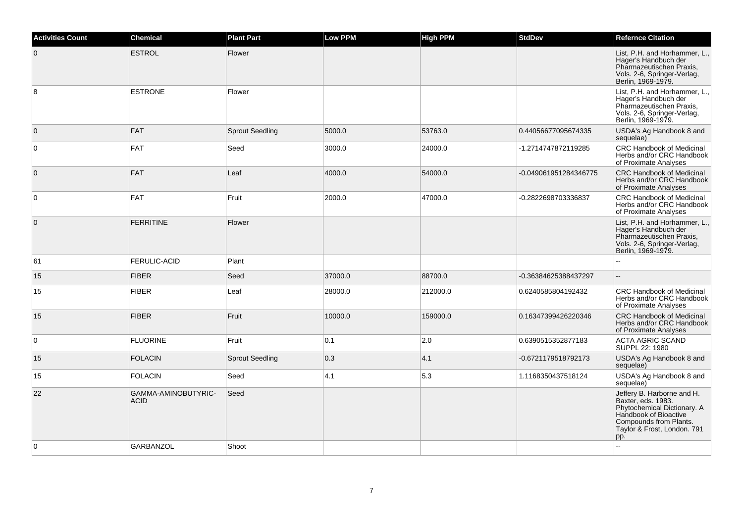| <b>Activities Count</b> | <b>Chemical</b>                    | <b>Plant Part</b>      | <b>Low PPM</b> | <b>High PPM</b> | <b>StdDev</b>         | <b>Refernce Citation</b>                                                                                                                                                 |
|-------------------------|------------------------------------|------------------------|----------------|-----------------|-----------------------|--------------------------------------------------------------------------------------------------------------------------------------------------------------------------|
| $\overline{0}$          | <b>ESTROL</b>                      | Flower                 |                |                 |                       | List, P.H. and Horhammer, L.,<br>Hager's Handbuch der<br>Pharmazeutischen Praxis,<br>Vols. 2-6, Springer-Verlag,<br>Berlin, 1969-1979.                                   |
| 8                       | <b>ESTRONE</b>                     | Flower                 |                |                 |                       | List, P.H. and Horhammer, L.,<br>Hager's Handbuch der<br>Pharmazeutischen Praxis,<br>Vols. 2-6, Springer-Verlag,<br>Berlin, 1969-1979.                                   |
| $\overline{0}$          | <b>FAT</b>                         | <b>Sprout Seedling</b> | 5000.0         | 53763.0         | 0.44056677095674335   | USDA's Ag Handbook 8 and<br>sequelae)                                                                                                                                    |
| $\overline{0}$          | FAT                                | Seed                   | 3000.0         | 24000.0         | -1.2714747872119285   | <b>CRC Handbook of Medicinal</b><br>Herbs and/or CRC Handbook<br>of Proximate Analyses                                                                                   |
| $\overline{0}$          | FAT                                | Leaf                   | 4000.0         | 54000.0         | -0.049061951284346775 | <b>CRC Handbook of Medicinal</b><br>Herbs and/or CRC Handbook<br>of Proximate Analyses                                                                                   |
| $\overline{0}$          | FAT                                | Fruit                  | 2000.0         | 47000.0         | -0.2822698703336837   | <b>CRC Handbook of Medicinal</b><br>Herbs and/or CRC Handbook<br>of Proximate Analyses                                                                                   |
| $\overline{0}$          | <b>FERRITINE</b>                   | Flower                 |                |                 |                       | List, P.H. and Horhammer, L.,<br>Hager's Handbuch der<br>Pharmazeutischen Praxis,<br>Vols. 2-6, Springer-Verlag,<br>Berlin, 1969-1979.                                   |
| 61                      | <b>FERULIC-ACID</b>                | Plant                  |                |                 |                       |                                                                                                                                                                          |
| 15                      | <b>FIBER</b>                       | Seed                   | 37000.0        | 88700.0         | -0.36384625388437297  | $\sim$                                                                                                                                                                   |
| 15                      | <b>FIBER</b>                       | Leaf                   | 28000.0        | 212000.0        | 0.6240585804192432    | <b>CRC Handbook of Medicinal</b><br>Herbs and/or CRC Handbook<br>of Proximate Analyses                                                                                   |
| 15                      | <b>FIBER</b>                       | Fruit                  | 10000.0        | 159000.0        | 0.16347399426220346   | CRC Handbook of Medicinal<br>Herbs and/or CRC Handbook<br>of Proximate Analyses                                                                                          |
| $\overline{0}$          | <b>FLUORINE</b>                    | Fruit                  | 0.1            | 2.0             | 0.6390515352877183    | <b>ACTA AGRIC SCAND</b><br>SUPPL 22: 1980                                                                                                                                |
| 15                      | <b>FOLACIN</b>                     | <b>Sprout Seedling</b> | 0.3            | 4.1             | -0.6721179518792173   | USDA's Ag Handbook 8 and<br>sequelae)                                                                                                                                    |
| 15                      | <b>FOLACIN</b>                     | Seed                   | 4.1            | 5.3             | 1.1168350437518124    | USDA's Ag Handbook 8 and<br>sequelae)                                                                                                                                    |
| 22                      | GAMMA-AMINOBUTYRIC-<br><b>ACID</b> | Seed                   |                |                 |                       | Jeffery B. Harborne and H.<br>Baxter, eds. 1983.<br>Phytochemical Dictionary. A<br>Handbook of Bioactive<br>Compounds from Plants.<br>Taylor & Frost, London. 791<br>pp. |
| $\overline{0}$          | <b>GARBANZOL</b>                   | Shoot                  |                |                 |                       |                                                                                                                                                                          |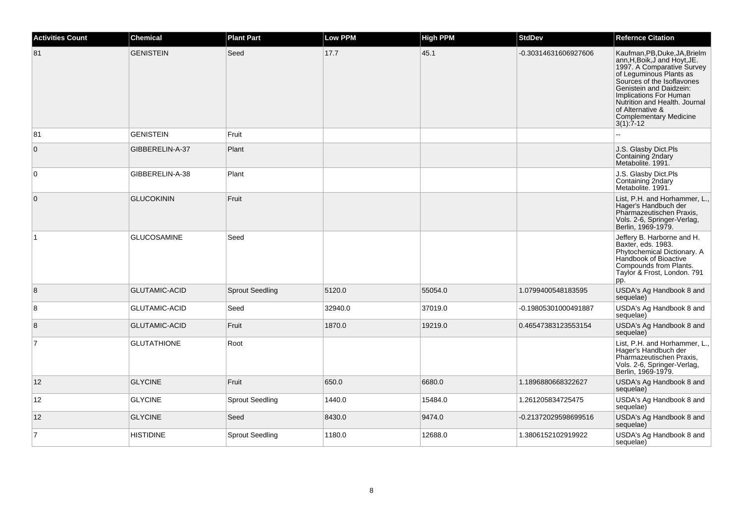| <b>Activities Count</b> | <b>Chemical</b>      | <b>Plant Part</b>      | <b>Low PPM</b> | <b>High PPM</b> | <b>StdDev</b>        | <b>Refernce Citation</b>                                                                                                                                                                                                                                                                                          |
|-------------------------|----------------------|------------------------|----------------|-----------------|----------------------|-------------------------------------------------------------------------------------------------------------------------------------------------------------------------------------------------------------------------------------------------------------------------------------------------------------------|
| 81                      | <b>GENISTEIN</b>     | Seed                   | 17.7           | 45.1            | -0.30314631606927606 | Kaufman, PB, Duke, JA, Brielm<br>ann, H, Boik, J and Hoyt, JE.<br>1997. A Comparative Survey<br>of Leguminous Plants as<br>Sources of the Isoflavones<br>Genistein and Daidzein:<br>Implications For Human<br>Nutrition and Health. Journal<br>of Alternative &<br><b>Complementary Medicine</b><br>$3(1)$ : 7-12 |
| 81                      | <b>GENISTEIN</b>     | Fruit                  |                |                 |                      |                                                                                                                                                                                                                                                                                                                   |
| $\mathbf{0}$            | GIBBERELIN-A-37      | Plant                  |                |                 |                      | J.S. Glasby Dict.Pls<br>Containing 2ndary<br>Metabolite, 1991.                                                                                                                                                                                                                                                    |
| $\mathbf 0$             | GIBBERELIN-A-38      | Plant                  |                |                 |                      | J.S. Glasby Dict.Pls<br>Containing 2ndary<br>Metabolite. 1991.                                                                                                                                                                                                                                                    |
| $\mathbf{0}$            | <b>GLUCOKININ</b>    | Fruit                  |                |                 |                      | List, P.H. and Horhammer, L.,<br>Hager's Handbuch der<br>Pharmazeutischen Praxis,<br>Vols. 2-6, Springer-Verlag,<br>Berlin, 1969-1979.                                                                                                                                                                            |
| ∣1                      | <b>GLUCOSAMINE</b>   | Seed                   |                |                 |                      | Jeffery B. Harborne and H.<br>Baxter, eds. 1983.<br>Phytochemical Dictionary. A<br>Handbook of Bioactive<br>Compounds from Plants.<br>Taylor & Frost, London. 791<br>pp.                                                                                                                                          |
| 8                       | <b>GLUTAMIC-ACID</b> | <b>Sprout Seedling</b> | 5120.0         | 55054.0         | 1.0799400548183595   | USDA's Ag Handbook 8 and<br>sequelae)                                                                                                                                                                                                                                                                             |
| 8                       | <b>GLUTAMIC-ACID</b> | Seed                   | 32940.0        | 37019.0         | -0.19805301000491887 | USDA's Ag Handbook 8 and<br>sequelae)                                                                                                                                                                                                                                                                             |
| 8                       | <b>GLUTAMIC-ACID</b> | Fruit                  | 1870.0         | 19219.0         | 0.46547383123553154  | USDA's Ag Handbook 8 and<br>sequelae)                                                                                                                                                                                                                                                                             |
| $\overline{7}$          | <b>GLUTATHIONE</b>   | Root                   |                |                 |                      | List, P.H. and Horhammer, L.,<br>Hager's Handbuch der<br>Pharmazeutischen Praxis,<br>Vols. 2-6, Springer-Verlag,<br>Berlin, 1969-1979.                                                                                                                                                                            |
| 12                      | <b>GLYCINE</b>       | Fruit                  | 650.0          | 6680.0          | 1.1896880668322627   | USDA's Ag Handbook 8 and<br>sequelae)                                                                                                                                                                                                                                                                             |
| 12                      | <b>GLYCINE</b>       | <b>Sprout Seedling</b> | 1440.0         | 15484.0         | 1.261205834725475    | USDA's Ag Handbook 8 and<br>sequelae)                                                                                                                                                                                                                                                                             |
| 12                      | <b>GLYCINE</b>       | Seed                   | 8430.0         | 9474.0          | -0.21372029598699516 | USDA's Ag Handbook 8 and<br>sequelae)                                                                                                                                                                                                                                                                             |
| $\overline{7}$          | <b>HISTIDINE</b>     | <b>Sprout Seedling</b> | 1180.0         | 12688.0         | 1.3806152102919922   | USDA's Ag Handbook 8 and<br>sequelae)                                                                                                                                                                                                                                                                             |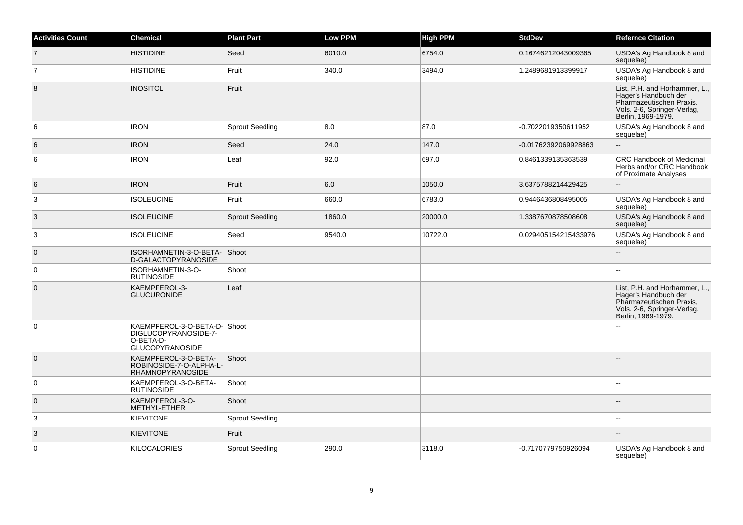| <b>Activities Count</b> | <b>Chemical</b>                                                                            | <b>Plant Part</b>      | Low PPM | <b>High PPM</b> | <b>StdDev</b>        | <b>Refernce Citation</b>                                                                                                               |
|-------------------------|--------------------------------------------------------------------------------------------|------------------------|---------|-----------------|----------------------|----------------------------------------------------------------------------------------------------------------------------------------|
| $\overline{7}$          | <b>HISTIDINE</b>                                                                           | Seed                   | 6010.0  | 6754.0          | 0.16746212043009365  | USDA's Ag Handbook 8 and<br>sequelae)                                                                                                  |
| $\overline{7}$          | <b>HISTIDINE</b>                                                                           | Fruit                  | 340.0   | 3494.0          | 1.2489681913399917   | USDA's Ag Handbook 8 and<br>sequelae)                                                                                                  |
| 8                       | <b>INOSITOL</b>                                                                            | Fruit                  |         |                 |                      | List, P.H. and Horhammer, L.,<br>Hager's Handbuch der<br>Pharmazeutischen Praxis,<br>Vols. 2-6, Springer-Verlag,<br>Berlin, 1969-1979. |
| 6                       | <b>IRON</b>                                                                                | <b>Sprout Seedling</b> | 8.0     | 87.0            | -0.7022019350611952  | USDA's Ag Handbook 8 and<br>sequelae)                                                                                                  |
| 6                       | <b>IRON</b>                                                                                | Seed                   | 24.0    | 147.0           | -0.01762392069928863 |                                                                                                                                        |
| 6                       | <b>IRON</b>                                                                                | Leaf                   | 92.0    | 697.0           | 0.8461339135363539   | <b>CRC Handbook of Medicinal</b><br>Herbs and/or CRC Handbook<br>of Proximate Analyses                                                 |
| 6                       | <b>IRON</b>                                                                                | Fruit                  | 6.0     | 1050.0          | 3.6375788214429425   |                                                                                                                                        |
| 3                       | <b>ISOLEUCINE</b>                                                                          | Fruit                  | 660.0   | 6783.0          | 0.9446436808495005   | USDA's Ag Handbook 8 and<br>sequelae)                                                                                                  |
| 3                       | <b>ISOLEUCINE</b>                                                                          | <b>Sprout Seedling</b> | 1860.0  | 20000.0         | 1.3387670878508608   | USDA's Ag Handbook 8 and<br>sequelae)                                                                                                  |
| 3                       | <b>ISOLEUCINE</b>                                                                          | Seed                   | 9540.0  | 10722.0         | 0.029405154215433976 | USDA's Ag Handbook 8 and<br>sequelae)                                                                                                  |
| $\overline{0}$          | ISORHAMNETIN-3-O-BETA-<br>D-GALACTOPYRANOSIDE                                              | Shoot                  |         |                 |                      |                                                                                                                                        |
| $\overline{0}$          | ISORHAMNETIN-3-O-<br><b>RUTINOSIDE</b>                                                     | Shoot                  |         |                 |                      |                                                                                                                                        |
| $\overline{0}$          | KAEMPFEROL-3-<br><b>GLUCURONIDE</b>                                                        | Leaf                   |         |                 |                      | List, P.H. and Horhammer, L.,<br>Hager's Handbuch der<br>Pharmazeutischen Praxis,<br>Vols. 2-6, Springer-Verlag,<br>Berlin, 1969-1979. |
| $\overline{0}$          | KAEMPFEROL-3-O-BETA-D-Shoot<br>DIGLUCOPYRANOSIDE-7-<br>O-BETA-D-<br><b>GLUCOPYRANOSIDE</b> |                        |         |                 |                      |                                                                                                                                        |
| $\overline{0}$          | KAEMPFEROL-3-O-BETA-<br>ROBINOSIDE-7-O-ALPHA-L-<br><b>RHAMNOPYRANOSIDE</b>                 | Shoot                  |         |                 |                      |                                                                                                                                        |
| $\overline{0}$          | KAEMPFEROL-3-O-BETA-<br><b>RUTINOSIDE</b>                                                  | Shoot                  |         |                 |                      |                                                                                                                                        |
| $\overline{0}$          | KAEMPFEROL-3-O-<br>METHYL-ETHER                                                            | Shoot                  |         |                 |                      |                                                                                                                                        |
| 3                       | <b>KIEVITONE</b>                                                                           | <b>Sprout Seedling</b> |         |                 |                      | ٠.                                                                                                                                     |
| 3                       | <b>KIEVITONE</b>                                                                           | Fruit                  |         |                 |                      |                                                                                                                                        |
| $\overline{0}$          | <b>KILOCALORIES</b>                                                                        | <b>Sprout Seedling</b> | 290.0   | 3118.0          | -0.7170779750926094  | USDA's Ag Handbook 8 and<br>sequelae)                                                                                                  |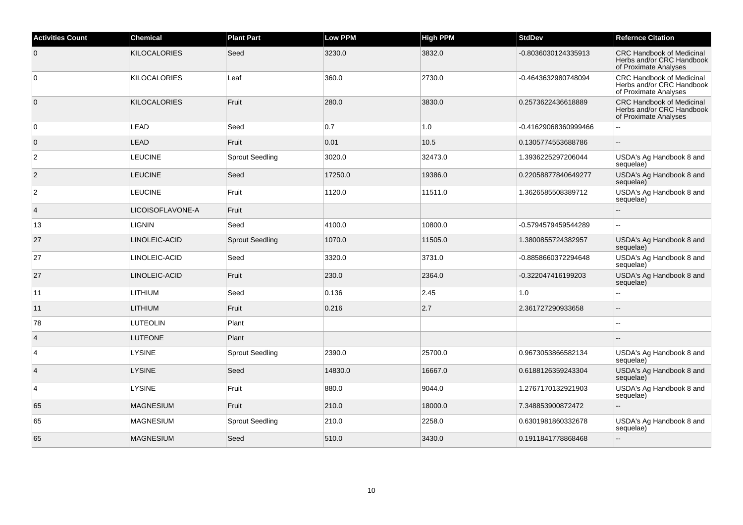| <b>Activities Count</b> | <b>Chemical</b>     | <b>Plant Part</b>      | <b>Low PPM</b> | <b>High PPM</b> | <b>StdDev</b>        | <b>Refernce Citation</b>                                                               |
|-------------------------|---------------------|------------------------|----------------|-----------------|----------------------|----------------------------------------------------------------------------------------|
| $\overline{0}$          | <b>KILOCALORIES</b> | Seed                   | 3230.0         | 3832.0          | -0.8036030124335913  | <b>CRC Handbook of Medicinal</b><br>Herbs and/or CRC Handbook<br>of Proximate Analyses |
| 0                       | <b>KILOCALORIES</b> | Leaf                   | 360.0          | 2730.0          | -0.4643632980748094  | CRC Handbook of Medicinal<br>Herbs and/or CRC Handbook<br>of Proximate Analyses        |
| $\overline{0}$          | KILOCALORIES        | Fruit                  | 280.0          | 3830.0          | 0.2573622436618889   | <b>CRC Handbook of Medicinal</b><br>Herbs and/or CRC Handbook<br>of Proximate Analyses |
| 0                       | LEAD                | Seed                   | 0.7            | 1.0             | -0.41629068360999466 |                                                                                        |
| $\overline{0}$          | LEAD                | Fruit                  | 0.01           | 10.5            | 0.1305774553688786   | $\mathbf{u}$                                                                           |
| $\overline{2}$          | <b>LEUCINE</b>      | Sprout Seedling        | 3020.0         | 32473.0         | 1.3936225297206044   | USDA's Ag Handbook 8 and<br>sequelae)                                                  |
| $ 2\rangle$             | <b>LEUCINE</b>      | Seed                   | 17250.0        | 19386.0         | 0.22058877840649277  | USDA's Ag Handbook 8 and<br>sequelae)                                                  |
| $\overline{2}$          | <b>LEUCINE</b>      | Fruit                  | 1120.0         | 11511.0         | 1.3626585508389712   | USDA's Ag Handbook 8 and<br>sequelae)                                                  |
| $\vert$ 4               | LICOISOFLAVONE-A    | Fruit                  |                |                 |                      | ÷.                                                                                     |
| 13                      | <b>LIGNIN</b>       | Seed                   | 4100.0         | 10800.0         | -0.5794579459544289  |                                                                                        |
| 27                      | LINOLEIC-ACID       | <b>Sprout Seedling</b> | 1070.0         | 11505.0         | 1.3800855724382957   | USDA's Ag Handbook 8 and<br>sequelae)                                                  |
| 27                      | LINOLEIC-ACID       | Seed                   | 3320.0         | 3731.0          | -0.8858660372294648  | USDA's Ag Handbook 8 and<br>sequelae)                                                  |
| 27                      | LINOLEIC-ACID       | Fruit                  | 230.0          | 2364.0          | -0.322047416199203   | USDA's Ag Handbook 8 and<br>sequelae)                                                  |
| 11                      | <b>LITHIUM</b>      | Seed                   | 0.136          | 2.45            | 1.0                  |                                                                                        |
| 11                      | <b>LITHIUM</b>      | Fruit                  | 0.216          | 2.7             | 2.361727290933658    | $\overline{a}$                                                                         |
| 78                      | <b>LUTEOLIN</b>     | Plant                  |                |                 |                      | $\sim$                                                                                 |
| $\overline{4}$          | <b>LUTEONE</b>      | Plant                  |                |                 |                      |                                                                                        |
| $\overline{4}$          | <b>LYSINE</b>       | <b>Sprout Seedling</b> | 2390.0         | 25700.0         | 0.9673053866582134   | USDA's Ag Handbook 8 and<br>sequelae)                                                  |
| $\vert 4 \vert$         | <b>LYSINE</b>       | Seed                   | 14830.0        | 16667.0         | 0.6188126359243304   | USDA's Ag Handbook 8 and<br>sequelae)                                                  |
| $\overline{4}$          | LYSINE              | Fruit                  | 880.0          | 9044.0          | 1.2767170132921903   | USDA's Ag Handbook 8 and<br>sequelae)                                                  |
| 65                      | <b>MAGNESIUM</b>    | Fruit                  | 210.0          | 18000.0         | 7.348853900872472    | $\mathbf{u}$                                                                           |
| 65                      | MAGNESIUM           | <b>Sprout Seedling</b> | 210.0          | 2258.0          | 0.6301981860332678   | USDA's Ag Handbook 8 and<br>sequelae)                                                  |
| 65                      | <b>MAGNESIUM</b>    | Seed                   | 510.0          | 3430.0          | 0.1911841778868468   |                                                                                        |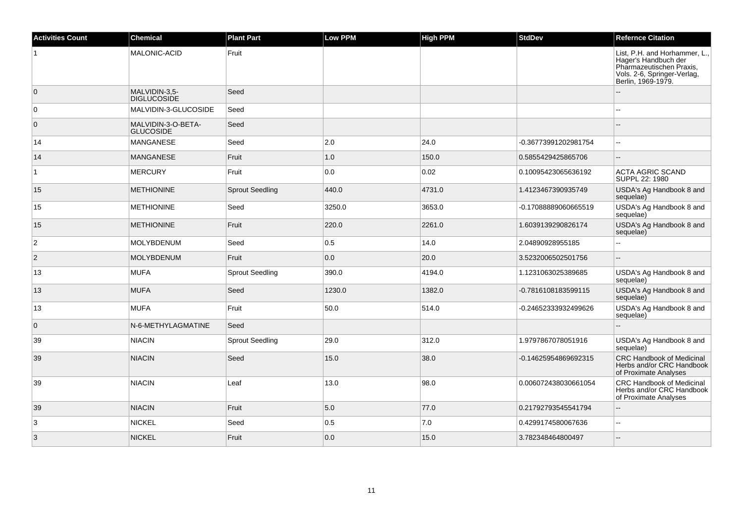| <b>Activities Count</b> | <b>Chemical</b>                     | <b>Plant Part</b>      | Low PPM | <b>High PPM</b> | <b>StdDev</b>        | <b>Refernce Citation</b>                                                                                                               |
|-------------------------|-------------------------------------|------------------------|---------|-----------------|----------------------|----------------------------------------------------------------------------------------------------------------------------------------|
|                         | MALONIC-ACID                        | Fruit                  |         |                 |                      | List, P.H. and Horhammer, L.,<br>Hager's Handbuch der<br>Pharmazeutischen Praxis,<br>Vols. 2-6, Springer-Verlag,<br>Berlin, 1969-1979. |
| $\overline{0}$          | MALVIDIN-3.5-<br><b>DIGLUCOSIDE</b> | Seed                   |         |                 |                      |                                                                                                                                        |
| $\overline{0}$          | MALVIDIN-3-GLUCOSIDE                | Seed                   |         |                 |                      |                                                                                                                                        |
| $\overline{0}$          | MALVIDIN-3-O-BETA-<br>GLUCOSIDE     | Seed                   |         |                 |                      |                                                                                                                                        |
| 14                      | MANGANESE                           | Seed                   | 2.0     | 24.0            | -0.36773991202981754 |                                                                                                                                        |
| 14                      | <b>MANGANESE</b>                    | Fruit                  | 1.0     | 150.0           | 0.5855429425865706   |                                                                                                                                        |
| $\overline{1}$          | <b>MERCURY</b>                      | Fruit                  | 0.0     | 0.02            | 0.10095423065636192  | <b>ACTA AGRIC SCAND</b><br>SUPPL 22: 1980                                                                                              |
| 15                      | <b>METHIONINE</b>                   | <b>Sprout Seedling</b> | 440.0   | 4731.0          | 1.4123467390935749   | USDA's Ag Handbook 8 and<br>sequelae)                                                                                                  |
| 15                      | <b>METHIONINE</b>                   | Seed                   | 3250.0  | 3653.0          | -0.17088889060665519 | USDA's Ag Handbook 8 and<br>sequelae)                                                                                                  |
| 15                      | <b>METHIONINE</b>                   | Fruit                  | 220.0   | 2261.0          | 1.6039139290826174   | USDA's Ag Handbook 8 and<br>sequelae)                                                                                                  |
| $\overline{2}$          | MOLYBDENUM                          | Seed                   | 0.5     | 14.0            | 2.04890928955185     |                                                                                                                                        |
| $\overline{2}$          | <b>MOLYBDENUM</b>                   | Fruit                  | 0.0     | 20.0            | 3.5232006502501756   |                                                                                                                                        |
| 13                      | <b>MUFA</b>                         | <b>Sprout Seedling</b> | 390.0   | 4194.0          | 1.1231063025389685   | USDA's Ag Handbook 8 and<br>sequelae)                                                                                                  |
| 13                      | <b>MUFA</b>                         | Seed                   | 1230.0  | 1382.0          | -0.7816108183599115  | USDA's Ag Handbook 8 and<br>sequelae)                                                                                                  |
| 13                      | <b>MUFA</b>                         | Fruit                  | 50.0    | 514.0           | -0.24652333932499626 | USDA's Ag Handbook 8 and<br>sequelae)                                                                                                  |
| $\overline{0}$          | N-6-METHYLAGMATINE                  | Seed                   |         |                 |                      |                                                                                                                                        |
| 39                      | <b>NIACIN</b>                       | <b>Sprout Seedling</b> | 29.0    | 312.0           | 1.9797867078051916   | USDA's Ag Handbook 8 and<br>sequelae)                                                                                                  |
| 39                      | <b>NIACIN</b>                       | Seed                   | 15.0    | 38.0            | -0.14625954869692315 | <b>CRC Handbook of Medicinal</b><br>Herbs and/or CRC Handbook<br>of Proximate Analyses                                                 |
| 39                      | <b>NIACIN</b>                       | Leaf                   | 13.0    | 98.0            | 0.006072438030661054 | <b>CRC Handbook of Medicinal</b><br>Herbs and/or CRC Handbook<br>of Proximate Analyses                                                 |
| 39                      | <b>NIACIN</b>                       | Fruit                  | 5.0     | 77.0            | 0.21792793545541794  |                                                                                                                                        |
| 3                       | <b>NICKEL</b>                       | Seed                   | 0.5     | 7.0             | 0.4299174580067636   | $\overline{a}$                                                                                                                         |
| 3                       | <b>NICKEL</b>                       | Fruit                  | 0.0     | 15.0            | 3.782348464800497    |                                                                                                                                        |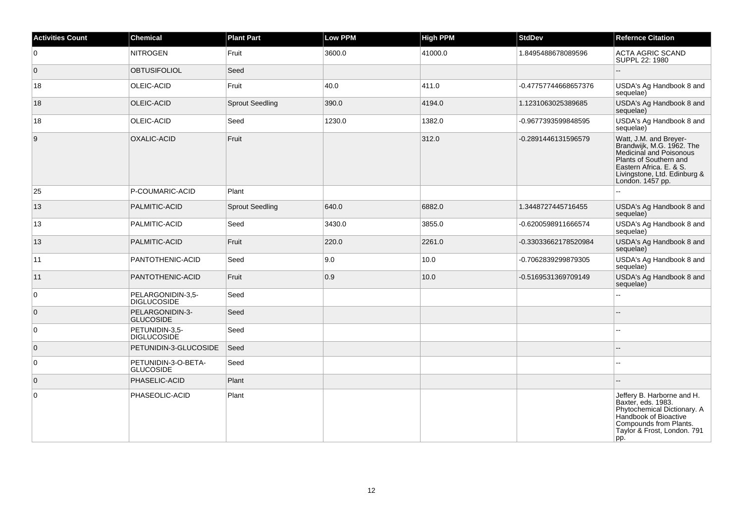| <b>Activities Count</b> | <b>Chemical</b>                         | <b>Plant Part</b>      | <b>Low PPM</b> | <b>High PPM</b> | <b>StdDev</b>        | <b>Refernce Citation</b>                                                                                                                                                                |
|-------------------------|-----------------------------------------|------------------------|----------------|-----------------|----------------------|-----------------------------------------------------------------------------------------------------------------------------------------------------------------------------------------|
| $\overline{0}$          | <b>NITROGEN</b>                         | Fruit                  | 3600.0         | 41000.0         | 1.8495488678089596   | <b>ACTA AGRIC SCAND</b><br>SUPPL 22: 1980                                                                                                                                               |
| $\overline{0}$          | <b>OBTUSIFOLIOL</b>                     | Seed                   |                |                 |                      |                                                                                                                                                                                         |
| 18                      | <b>OLEIC-ACID</b>                       | Fruit                  | 40.0           | 411.0           | -0.47757744668657376 | USDA's Ag Handbook 8 and<br>sequelae)                                                                                                                                                   |
| 18                      | OLEIC-ACID                              | <b>Sprout Seedling</b> | 390.0          | 4194.0          | 1.1231063025389685   | USDA's Ag Handbook 8 and<br>sequelae)                                                                                                                                                   |
| 18                      | OLEIC-ACID                              | Seed                   | 1230.0         | 1382.0          | -0.9677393599848595  | USDA's Ag Handbook 8 and<br>sequelae)                                                                                                                                                   |
| 9                       | OXALIC-ACID                             | Fruit                  |                | 312.0           | -0.2891446131596579  | Watt, J.M. and Breyer-<br>Brandwijk, M.G. 1962. The<br>Medicinal and Poisonous<br>Plants of Southern and<br>Eastern Africa. E. & S.<br>Livingstone, Ltd. Edinburg &<br>London. 1457 pp. |
| 25                      | P-COUMARIC-ACID                         | Plant                  |                |                 |                      |                                                                                                                                                                                         |
| 13                      | PALMITIC-ACID                           | <b>Sprout Seedling</b> | 640.0          | 6882.0          | 1.3448727445716455   | USDA's Ag Handbook 8 and<br>sequelae)                                                                                                                                                   |
| 13                      | PALMITIC-ACID                           | Seed                   | 3430.0         | 3855.0          | -0.6200598911666574  | USDA's Ag Handbook 8 and<br>sequelae)                                                                                                                                                   |
| 13                      | PALMITIC-ACID                           | Fruit                  | 220.0          | 2261.0          | -0.33033662178520984 | USDA's Ag Handbook 8 and<br>sequelae)                                                                                                                                                   |
| 11                      | PANTOTHENIC-ACID                        | Seed                   | 9.0            | 10.0            | -0.7062839299879305  | USDA's Ag Handbook 8 and<br>sequelae)                                                                                                                                                   |
| 11                      | PANTOTHENIC-ACID                        | Fruit                  | 0.9            | 10.0            | -0.5169531369709149  | USDA's Ag Handbook 8 and<br>sequelae)                                                                                                                                                   |
| $\overline{0}$          | PELARGONIDIN-3,5-<br><b>DIGLUCOSIDE</b> | Seed                   |                |                 |                      |                                                                                                                                                                                         |
| $\overline{0}$          | PELARGONIDIN-3-<br><b>GLUCOSIDE</b>     | Seed                   |                |                 |                      |                                                                                                                                                                                         |
| $\overline{0}$          | PETUNIDIN-3,5-<br><b>DIGLUCOSIDE</b>    | Seed                   |                |                 |                      | $\sim$                                                                                                                                                                                  |
| $\overline{0}$          | PETUNIDIN-3-GLUCOSIDE                   | Seed                   |                |                 |                      |                                                                                                                                                                                         |
| $\overline{0}$          | PETUNIDIN-3-O-BETA-<br><b>GLUCOSIDE</b> | Seed                   |                |                 |                      | $\sim$                                                                                                                                                                                  |
| $\overline{0}$          | PHASELIC-ACID                           | Plant                  |                |                 |                      |                                                                                                                                                                                         |
| $\overline{0}$          | PHASEOLIC-ACID                          | Plant                  |                |                 |                      | Jeffery B. Harborne and H.<br>Baxter, eds. 1983.<br>Phytochemical Dictionary. A<br>Handbook of Bioactive<br>Compounds from Plants.<br>Taylor & Frost, London. 791<br>pp.                |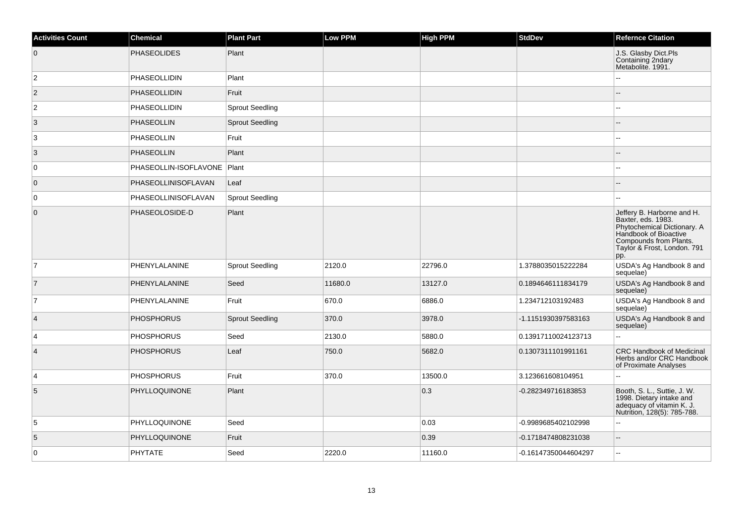| <b>Activities Count</b> | <b>Chemical</b>       | <b>Plant Part</b>      | Low PPM | <b>High PPM</b> | <b>StdDev</b>        | <b>Refernce Citation</b>                                                                                                                                                 |
|-------------------------|-----------------------|------------------------|---------|-----------------|----------------------|--------------------------------------------------------------------------------------------------------------------------------------------------------------------------|
| $\overline{0}$          | <b>PHASEOLIDES</b>    | Plant                  |         |                 |                      | J.S. Glasby Dict.Pls<br>Containing 2ndary<br>Metabolite. 1991.                                                                                                           |
| $\overline{c}$          | <b>PHASEOLLIDIN</b>   | Plant                  |         |                 |                      | ۵.                                                                                                                                                                       |
| $\overline{2}$          | PHASEOLLIDIN          | Fruit                  |         |                 |                      | --                                                                                                                                                                       |
| $\overline{2}$          | PHASEOLLIDIN          | <b>Sprout Seedling</b> |         |                 |                      | --                                                                                                                                                                       |
| $\overline{3}$          | <b>PHASEOLLIN</b>     | <b>Sprout Seedling</b> |         |                 |                      |                                                                                                                                                                          |
| 3                       | PHASEOLLIN            | Fruit                  |         |                 |                      | --                                                                                                                                                                       |
| 3                       | <b>PHASEOLLIN</b>     | Plant                  |         |                 |                      | --                                                                                                                                                                       |
| $\overline{0}$          | PHASEOLLIN-ISOFLAVONE | Plant                  |         |                 |                      | --                                                                                                                                                                       |
| $\overline{0}$          | PHASEOLLINISOFLAVAN   | Leaf                   |         |                 |                      |                                                                                                                                                                          |
| $\overline{0}$          | PHASEOLLINISOFLAVAN   | <b>Sprout Seedling</b> |         |                 |                      | шш.                                                                                                                                                                      |
| $\overline{0}$          | PHASEOLOSIDE-D        | Plant                  |         |                 |                      | Jeffery B. Harborne and H.<br>Baxter, eds. 1983.<br>Phytochemical Dictionary. A<br>Handbook of Bioactive<br>Compounds from Plants.<br>Taylor & Frost, London. 791<br>pp. |
| $\overline{7}$          | PHENYLALANINE         | <b>Sprout Seedling</b> | 2120.0  | 22796.0         | 1.3788035015222284   | USDA's Ag Handbook 8 and<br>sequelae)                                                                                                                                    |
| $\overline{7}$          | PHENYLALANINE         | Seed                   | 11680.0 | 13127.0         | 0.1894646111834179   | USDA's Ag Handbook 8 and<br>sequelae)                                                                                                                                    |
| $\overline{7}$          | PHENYLALANINE         | Fruit                  | 670.0   | 6886.0          | 1.234712103192483    | USDA's Ag Handbook 8 and<br>sequelae)                                                                                                                                    |
| $\vert$ 4               | <b>PHOSPHORUS</b>     | <b>Sprout Seedling</b> | 370.0   | 3978.0          | -1.1151930397583163  | USDA's Ag Handbook 8 and<br>sequelae)                                                                                                                                    |
| $\overline{4}$          | <b>PHOSPHORUS</b>     | Seed                   | 2130.0  | 5880.0          | 0.13917110024123713  | Ξ.                                                                                                                                                                       |
| $\overline{4}$          | <b>PHOSPHORUS</b>     | Leaf                   | 750.0   | 5682.0          | 0.1307311101991161   | <b>CRC Handbook of Medicinal</b><br>Herbs and/or CRC Handbook<br>of Proximate Analyses                                                                                   |
| 4                       | <b>PHOSPHORUS</b>     | Fruit                  | 370.0   | 13500.0         | 3.123661608104951    | --                                                                                                                                                                       |
| 5                       | PHYLLOQUINONE         | Plant                  |         | 0.3             | -0.282349716183853   | Booth, S. L., Suttie, J. W.<br>1998. Dietary intake and<br>adequacy of vitamin K. J.<br>Nutrition, 128(5): 785-788.                                                      |
| 5                       | PHYLLOQUINONE         | Seed                   |         | 0.03            | -0.9989685402102998  | L.                                                                                                                                                                       |
| 5                       | PHYLLOQUINONE         | Fruit                  |         | 0.39            | -0.1718474808231038  | --                                                                                                                                                                       |
| $\overline{0}$          | <b>PHYTATE</b>        | Seed                   | 2220.0  | 11160.0         | -0.16147350044604297 | --                                                                                                                                                                       |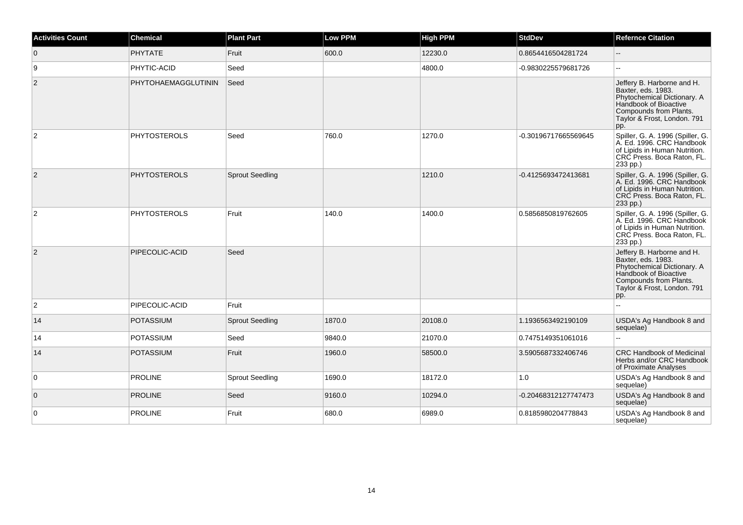| <b>Activities Count</b> | <b>Chemical</b>     | <b>Plant Part</b>      | <b>Low PPM</b> | <b>High PPM</b> | <b>StdDev</b>        | <b>Refernce Citation</b>                                                                                                                                                 |
|-------------------------|---------------------|------------------------|----------------|-----------------|----------------------|--------------------------------------------------------------------------------------------------------------------------------------------------------------------------|
| $\overline{0}$          | <b>PHYTATE</b>      | Fruit                  | 600.0          | 12230.0         | 0.8654416504281724   |                                                                                                                                                                          |
| 9                       | PHYTIC-ACID         | Seed                   |                | 4800.0          | -0.9830225579681726  | $\sim$                                                                                                                                                                   |
| $\overline{2}$          | PHYTOHAEMAGGLUTININ | Seed                   |                |                 |                      | Jeffery B. Harborne and H.<br>Baxter, eds. 1983.<br>Phytochemical Dictionary. A<br>Handbook of Bioactive<br>Compounds from Plants.<br>Taylor & Frost, London. 791<br>pp. |
| $\overline{2}$          | <b>PHYTOSTEROLS</b> | Seed                   | 760.0          | 1270.0          | -0.30196717665569645 | Spiller, G. A. 1996 (Spiller, G.<br>A. Ed. 1996. CRC Handbook<br>of Lipids in Human Nutrition.<br>CRC Press. Boca Raton, FL.<br>233 pp.)                                 |
| $\overline{2}$          | <b>PHYTOSTEROLS</b> | <b>Sprout Seedling</b> |                | 1210.0          | -0.4125693472413681  | Spiller, G. A. 1996 (Spiller, G.<br>A. Ed. 1996. CRC Handbook<br>of Lipids in Human Nutrition.<br>CRC Press. Boca Raton, FL.<br>233 pp.)                                 |
| $\overline{2}$          | <b>PHYTOSTEROLS</b> | Fruit                  | 140.0          | 1400.0          | 0.5856850819762605   | Spiller, G. A. 1996 (Spiller, G.<br>A. Ed. 1996. CRC Handbook<br>of Lipids in Human Nutrition.<br>CRC Press. Boca Raton, FL.<br>233 pp.)                                 |
| 2                       | PIPECOLIC-ACID      | Seed                   |                |                 |                      | Jeffery B. Harborne and H.<br>Baxter, eds. 1983.<br>Phytochemical Dictionary. A<br>Handbook of Bioactive<br>Compounds from Plants.<br>Taylor & Frost, London. 791<br>pp. |
| $\overline{2}$          | PIPECOLIC-ACID      | Fruit                  |                |                 |                      | $\sim$                                                                                                                                                                   |
| 14                      | POTASSIUM           | <b>Sprout Seedling</b> | 1870.0         | 20108.0         | 1.1936563492190109   | USDA's Ag Handbook 8 and<br>sequelae)                                                                                                                                    |
| 14                      | <b>POTASSIUM</b>    | Seed                   | 9840.0         | 21070.0         | 0.7475149351061016   |                                                                                                                                                                          |
| 14                      | <b>POTASSIUM</b>    | Fruit                  | 1960.0         | 58500.0         | 3.5905687332406746   | <b>CRC Handbook of Medicinal</b><br>Herbs and/or CRC Handbook<br>of Proximate Analyses                                                                                   |
| 0                       | <b>PROLINE</b>      | <b>Sprout Seedling</b> | 1690.0         | 18172.0         | 1.0                  | USDA's Ag Handbook 8 and<br>sequelae)                                                                                                                                    |
| $\overline{0}$          | <b>PROLINE</b>      | Seed                   | 9160.0         | 10294.0         | -0.20468312127747473 | USDA's Ag Handbook 8 and<br>sequelae)                                                                                                                                    |
| 0                       | <b>PROLINE</b>      | Fruit                  | 680.0          | 6989.0          | 0.8185980204778843   | USDA's Ag Handbook 8 and<br>sequelae)                                                                                                                                    |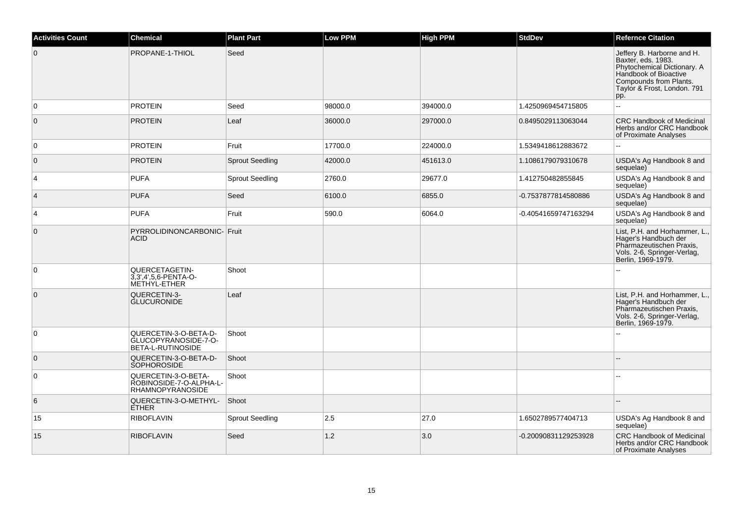| <b>Activities Count</b> | <b>Chemical</b>                                                           | <b>Plant Part</b>      | <b>Low PPM</b> | <b>High PPM</b> | <b>StdDev</b>        | <b>Refernce Citation</b>                                                                                                                                                 |
|-------------------------|---------------------------------------------------------------------------|------------------------|----------------|-----------------|----------------------|--------------------------------------------------------------------------------------------------------------------------------------------------------------------------|
| $\mathbf 0$             | PROPANE-1-THIOL                                                           | Seed                   |                |                 |                      | Jeffery B. Harborne and H.<br>Baxter, eds. 1983.<br>Phytochemical Dictionary. A<br>Handbook of Bioactive<br>Compounds from Plants.<br>Taylor & Frost, London. 791<br>pp. |
| $\mathbf 0$             | <b>PROTEIN</b>                                                            | Seed                   | 98000.0        | 394000.0        | 1.4250969454715805   | $\overline{a}$                                                                                                                                                           |
| $\mathbf 0$             | <b>PROTEIN</b>                                                            | Leaf                   | 36000.0        | 297000.0        | 0.8495029113063044   | <b>CRC Handbook of Medicinal</b><br>Herbs and/or CRC Handbook<br>of Proximate Analyses                                                                                   |
| 0                       | <b>PROTEIN</b>                                                            | Fruit                  | 17700.0        | 224000.0        | 1.5349418612883672   | $\overline{a}$                                                                                                                                                           |
| $\mathbf 0$             | <b>PROTEIN</b>                                                            | <b>Sprout Seedling</b> | 42000.0        | 451613.0        | 1.1086179079310678   | USDA's Ag Handbook 8 and<br>sequelae)                                                                                                                                    |
| 4                       | <b>PUFA</b>                                                               | <b>Sprout Seedling</b> | 2760.0         | 29677.0         | 1.412750482855845    | USDA's Ag Handbook 8 and<br>sequelae)                                                                                                                                    |
| $\overline{4}$          | <b>PUFA</b>                                                               | Seed                   | 6100.0         | 6855.0          | -0.7537877814580886  | USDA's Ag Handbook 8 and<br>sequelae)                                                                                                                                    |
| 4                       | <b>PUFA</b>                                                               | Fruit                  | 590.0          | 6064.0          | -0.40541659747163294 | USDA's Ag Handbook 8 and<br>sequelae)                                                                                                                                    |
| $\mathbf{0}$            | PYRROLIDINONCARBONIC- Fruit<br><b>ACID</b>                                |                        |                |                 |                      | List, P.H. and Horhammer, L.,<br>Hager's Handbuch der<br>Pharmazeutischen Praxis,<br>Vols. 2-6, Springer-Verlag,<br>Berlin, 1969-1979.                                   |
| $\mathbf 0$             | QUERCETAGETIN-<br>3,3',4',5,6-PENTA-O-<br>METHYL-ETHER                    | Shoot                  |                |                 |                      |                                                                                                                                                                          |
| $\mathbf 0$             | QUERCETIN-3-<br><b>GLUCURONIDE</b>                                        | Leaf                   |                |                 |                      | List, P.H. and Horhammer, L.,<br>Hager's Handbuch der<br>Pharmazeutischen Praxis,<br>Vols. 2-6, Springer-Verlag,<br>Berlin, 1969-1979.                                   |
| 0                       | QUERCETIN-3-O-BETA-D-<br>GLUCOPYRANOSIDE-7-O-<br>BETA-L-RUTINOSIDE        | Shoot                  |                |                 |                      |                                                                                                                                                                          |
| $\overline{0}$          | QUERCETIN-3-O-BETA-D-<br><b>SOPHOROSIDE</b>                               | Shoot                  |                |                 |                      |                                                                                                                                                                          |
| 0                       | QUERCETIN-3-O-BETA-<br>ROBINOSIDE-7-O-ALPHA-L-<br><b>RHAMNOPYRANOSIDE</b> | Shoot                  |                |                 |                      |                                                                                                                                                                          |
| 6                       | QUERCETIN-3-O-METHYL-<br><b>ETHER</b>                                     | Shoot                  |                |                 |                      |                                                                                                                                                                          |
| 15                      | <b>RIBOFLAVIN</b>                                                         | <b>Sprout Seedling</b> | 2.5            | 27.0            | 1.6502789577404713   | USDA's Ag Handbook 8 and<br>sequelae)                                                                                                                                    |
| 15                      | <b>RIBOFLAVIN</b>                                                         | Seed                   | 1.2            | 3.0             | -0.20090831129253928 | <b>CRC Handbook of Medicinal</b><br>Herbs and/or CRC Handbook<br>of Proximate Analyses                                                                                   |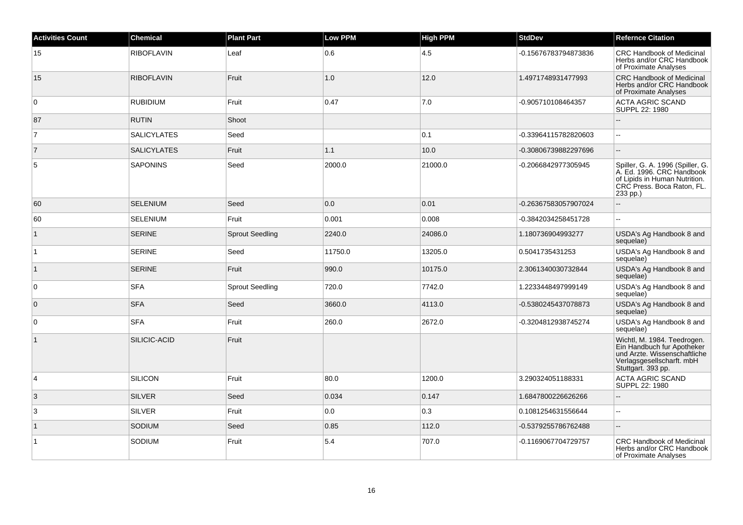| <b>Activities Count</b> | <b>Chemical</b>    | <b>Plant Part</b>      | <b>Low PPM</b> | <b>High PPM</b> | <b>StdDev</b>        | <b>Refernce Citation</b>                                                                                                                     |
|-------------------------|--------------------|------------------------|----------------|-----------------|----------------------|----------------------------------------------------------------------------------------------------------------------------------------------|
| 15                      | <b>RIBOFLAVIN</b>  | Leaf                   | 0.6            | 4.5             | -0.15676783794873836 | <b>CRC Handbook of Medicinal</b><br>Herbs and/or CRC Handbook<br>of Proximate Analyses                                                       |
| 15                      | <b>RIBOFLAVIN</b>  | Fruit                  | $1.0$          | 12.0            | 1.4971748931477993   | <b>CRC Handbook of Medicinal</b><br>Herbs and/or CRC Handbook<br>of Proximate Analyses                                                       |
| $\mathbf 0$             | <b>RUBIDIUM</b>    | Fruit                  | 0.47           | 7.0             | -0.905710108464357   | <b>ACTA AGRIC SCAND</b><br>SUPPL 22: 1980                                                                                                    |
| 87                      | <b>RUTIN</b>       | Shoot                  |                |                 |                      |                                                                                                                                              |
| $\overline{7}$          | <b>SALICYLATES</b> | Seed                   |                | 0.1             | -0.33964115782820603 | $\sim$                                                                                                                                       |
| $\overline{7}$          | <b>SALICYLATES</b> | Fruit                  | 1.1            | 10.0            | -0.30806739882297696 |                                                                                                                                              |
| 5                       | <b>SAPONINS</b>    | Seed                   | 2000.0         | 21000.0         | -0.2066842977305945  | Spiller, G. A. 1996 (Spiller, G.<br>A. Ed. 1996. CRC Handbook<br>of Lipids in Human Nutrition.<br>CRC Press. Boca Raton, FL.<br>233 pp.)     |
| 60                      | <b>SELENIUM</b>    | Seed                   | 0.0            | 0.01            | -0.26367583057907024 |                                                                                                                                              |
| 60                      | <b>SELENIUM</b>    | Fruit                  | 0.001          | 0.008           | -0.3842034258451728  | ÷.                                                                                                                                           |
| $\mathbf{1}$            | <b>SERINE</b>      | <b>Sprout Seedling</b> | 2240.0         | 24086.0         | 1.180736904993277    | USDA's Ag Handbook 8 and<br>sequelae)                                                                                                        |
| $\vert$ 1               | <b>SERINE</b>      | Seed                   | 11750.0        | 13205.0         | 0.5041735431253      | USDA's Ag Handbook 8 and<br>sequelae)                                                                                                        |
| $\vert$ 1               | <b>SERINE</b>      | Fruit                  | 990.0          | 10175.0         | 2.3061340030732844   | USDA's Ag Handbook 8 and<br>sequelae)                                                                                                        |
| 0                       | <b>SFA</b>         | <b>Sprout Seedling</b> | 720.0          | 7742.0          | 1.2233448497999149   | USDA's Ag Handbook 8 and<br>sequelae)                                                                                                        |
| $\mathbf 0$             | <b>SFA</b>         | Seed                   | 3660.0         | 4113.0          | -0.5380245437078873  | USDA's Ag Handbook 8 and<br>sequelae)                                                                                                        |
| $\mathbf 0$             | <b>SFA</b>         | Fruit                  | 260.0          | 2672.0          | -0.3204812938745274  | USDA's Ag Handbook 8 and<br>sequelae)                                                                                                        |
| $\mathbf{1}$            | SILICIC-ACID       | Fruit                  |                |                 |                      | Wichtl, M. 1984. Teedrogen.<br>Ein Handbuch fur Apotheker<br>und Arzte. Wissenschaftliche<br>Verlagsgesellscharft. mbH<br>Stuttgart. 393 pp. |
| 4                       | <b>SILICON</b>     | Fruit                  | 80.0           | 1200.0          | 3.290324051188331    | <b>ACTA AGRIC SCAND</b><br>SUPPL 22: 1980                                                                                                    |
| 3                       | <b>SILVER</b>      | Seed                   | 0.034          | 0.147           | 1.6847800226626266   |                                                                                                                                              |
| 3                       | <b>SILVER</b>      | Fruit                  | 0.0            | 0.3             | 0.1081254631556644   |                                                                                                                                              |
| $\vert$ 1               | <b>SODIUM</b>      | Seed                   | 0.85           | 112.0           | -0.5379255786762488  |                                                                                                                                              |
| $\mathbf{1}$            | SODIUM             | Fruit                  | 5.4            | 707.0           | -0.1169067704729757  | <b>CRC Handbook of Medicinal</b><br>Herbs and/or CRC Handbook<br>of Proximate Analyses                                                       |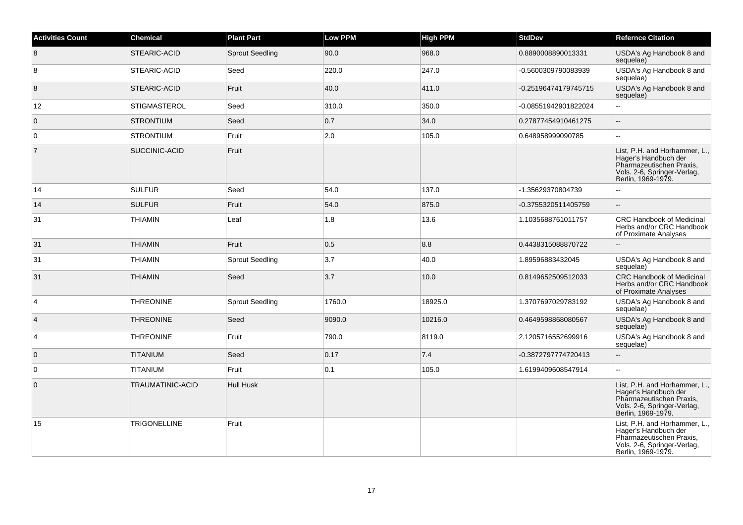| <b>Activities Count</b> | <b>Chemical</b>     | <b>Plant Part</b>      | <b>Low PPM</b> | <b>High PPM</b> | <b>StdDev</b>        | <b>Refernce Citation</b>                                                                                                               |
|-------------------------|---------------------|------------------------|----------------|-----------------|----------------------|----------------------------------------------------------------------------------------------------------------------------------------|
| 8                       | STEARIC-ACID        | <b>Sprout Seedling</b> | 90.0           | 968.0           | 0.8890008890013331   | USDA's Ag Handbook 8 and<br>sequelae)                                                                                                  |
| 8                       | STEARIC-ACID        | Seed                   | 220.0          | 247.0           | -0.5600309790083939  | USDA's Ag Handbook 8 and<br>sequelae)                                                                                                  |
| 8                       | STEARIC-ACID        | Fruit                  | 40.0           | 411.0           | -0.25196474179745715 | USDA's Ag Handbook 8 and<br>sequelae)                                                                                                  |
| 12                      | <b>STIGMASTEROL</b> | Seed                   | 310.0          | 350.0           | -0.08551942901822024 | $\mathbb{Z}^2$                                                                                                                         |
| $\mathbf 0$             | <b>STRONTIUM</b>    | Seed                   | 0.7            | 34.0            | 0.27877454910461275  | $\sim$                                                                                                                                 |
| 0                       | <b>STRONTIUM</b>    | Fruit                  | 2.0            | 105.0           | 0.648958999090785    | ÷.                                                                                                                                     |
| $\overline{7}$          | SUCCINIC-ACID       | Fruit                  |                |                 |                      | List, P.H. and Horhammer, L.,<br>Hager's Handbuch der<br>Pharmazeutischen Praxis,<br>Vols. 2-6, Springer-Verlag,<br>Berlin, 1969-1979. |
| 14                      | <b>SULFUR</b>       | Seed                   | 54.0           | 137.0           | -1.35629370804739    |                                                                                                                                        |
| 14                      | <b>SULFUR</b>       | Fruit                  | 54.0           | 875.0           | -0.3755320511405759  |                                                                                                                                        |
| 31                      | <b>THIAMIN</b>      | Leaf                   | 1.8            | 13.6            | 1.1035688761011757   | <b>CRC Handbook of Medicinal</b><br>Herbs and/or CRC Handbook<br>of Proximate Analyses                                                 |
| 31                      | <b>THIAMIN</b>      | Fruit                  | 0.5            | 8.8             | 0.4438315088870722   |                                                                                                                                        |
| 31                      | <b>THIAMIN</b>      | <b>Sprout Seedling</b> | 3.7            | 40.0            | 1.89596883432045     | USDA's Ag Handbook 8 and<br>sequelae)                                                                                                  |
| 31                      | <b>THIAMIN</b>      | Seed                   | 3.7            | 10.0            | 0.8149652509512033   | <b>CRC Handbook of Medicinal</b><br>Herbs and/or CRC Handbook<br>of Proximate Analyses                                                 |
| $\overline{4}$          | <b>THREONINE</b>    | <b>Sprout Seedling</b> | 1760.0         | 18925.0         | 1.3707697029783192   | USDA's Ag Handbook 8 and<br>sequelae)                                                                                                  |
| $\overline{4}$          | <b>THREONINE</b>    | Seed                   | 9090.0         | 10216.0         | 0.4649598868080567   | USDA's Ag Handbook 8 and<br>sequelae)                                                                                                  |
| 4                       | <b>THREONINE</b>    | Fruit                  | 790.0          | 8119.0          | 2.1205716552699916   | USDA's Ag Handbook 8 and<br>sequelae)                                                                                                  |
| $\mathbf 0$             | <b>TITANIUM</b>     | Seed                   | 0.17           | 7.4             | -0.3872797774720413  |                                                                                                                                        |
| 0                       | <b>TITANIUM</b>     | Fruit                  | 0.1            | 105.0           | 1.6199409608547914   | ۵.                                                                                                                                     |
| $\mathbf{0}$            | TRAUMATINIC-ACID    | <b>Hull Husk</b>       |                |                 |                      | List, P.H. and Horhammer, L.,<br>Hager's Handbuch der<br>Pharmazeutischen Praxis,<br>Vols. 2-6, Springer-Verlag,<br>Berlin, 1969-1979. |
| 15                      | <b>TRIGONELLINE</b> | Fruit                  |                |                 |                      | List, P.H. and Horhammer, L.,<br>Hager's Handbuch der<br>Pharmazeutischen Praxis,<br>Vols. 2-6, Springer-Verlag,<br>Berlin, 1969-1979. |